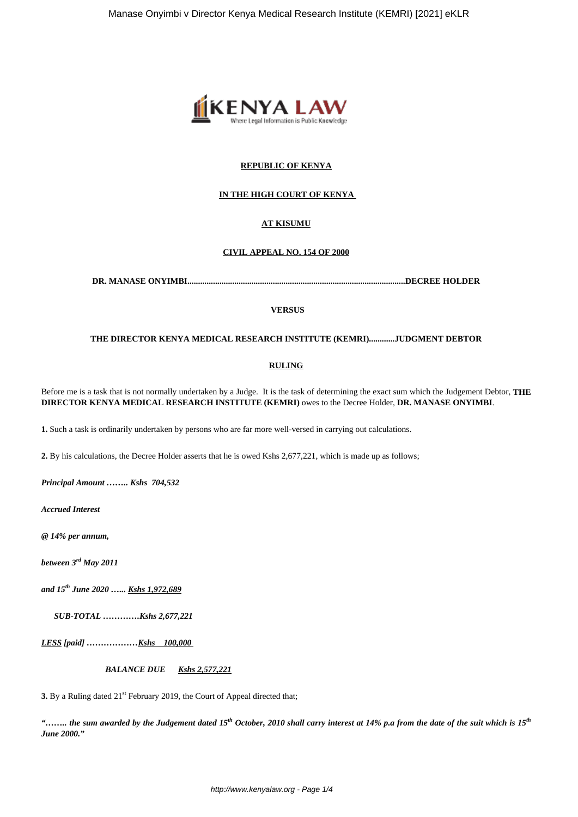

## **REPUBLIC OF KENYA**

## **IN THE HIGH COURT OF KENYA**

# **AT KISUMU**

#### **CIVIL APPEAL NO. 154 OF 2000**

**DR. MANASE ONYIMBI......................................................................................................DECREE HOLDER**

#### **VERSUS**

## **THE DIRECTOR KENYA MEDICAL RESEARCH INSTITUTE (KEMRI)............JUDGMENT DEBTOR**

#### **RULING**

Before me is a task that is not normally undertaken by a Judge. It is the task of determining the exact sum which the Judgement Debtor, **THE DIRECTOR KENYA MEDICAL RESEARCH INSTITUTE (KEMRI)** owes to the Decree Holder, **DR. MANASE ONYIMBI**.

**1.** Such a task is ordinarily undertaken by persons who are far more well-versed in carrying out calculations.

**2.** By his calculations, the Decree Holder asserts that he is owed Kshs 2,677,221, which is made up as follows;

*Principal Amount …….. Kshs 704,532*

*Accrued Interest*

*@ 14% per annum,*

*between 3rd May 2011*

*and 15th June 2020 …... Kshs 1,972,689*

*SUB-TOTAL ………….Kshs 2,677,221*

*LESS [paid] ………………Kshs 100,000* 

 *BALANCE DUE Kshs 2,577,221*

**3.** By a Ruling dated 21<sup>st</sup> February 2019, the Court of Appeal directed that;

*"…….. the sum awarded by the Judgement dated 15th October, 2010 shall carry interest at 14% p.a from the date of the suit which is 15th June 2000."*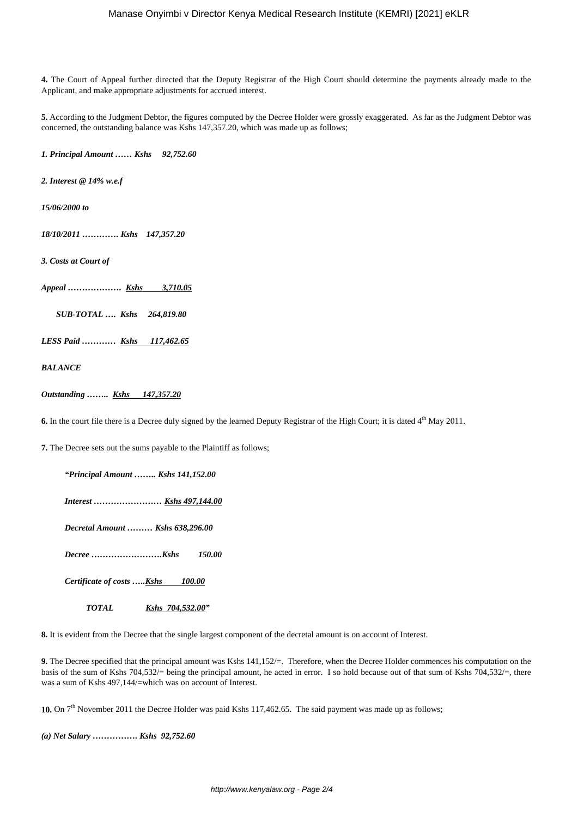**4.** The Court of Appeal further directed that the Deputy Registrar of the High Court should determine the payments already made to the Applicant, and make appropriate adjustments for accrued interest.

**5.** According to the Judgment Debtor, the figures computed by the Decree Holder were grossly exaggerated. As far as the Judgment Debtor was concerned, the outstanding balance was Kshs 147,357.20, which was made up as follows;

*1. Principal Amount …… Kshs 92,752.60*

*2. Interest @ 14% w.e.f*

*15/06/2000 to*

*18/10/2011 …………. Kshs 147,357.20*

*3. Costs at Court of*

*Appeal ………………. Kshs 3,710.05*

 *SUB-TOTAL …. Kshs 264,819.80*

*LESS Paid ………… Kshs 117,462.65*

*BALANCE*

*Outstanding …….. Kshs 147,357.20*

**6.** In the court file there is a Decree duly signed by the learned Deputy Registrar of the High Court; it is dated 4<sup>th</sup> May 2011.

**7.** The Decree sets out the sums payable to the Plaintiff as follows;

*"Principal Amount …….. Kshs 141,152.00*

 *Interest …………………… Kshs 497,144.00*

 *Decretal Amount ……… Kshs 638,296.00*

 *Decree …………………….Kshs 150.00*

 *Certificate of costs …..Kshs 100.00*

 *TOTAL Kshs 704,532.00"*

**8.** It is evident from the Decree that the single largest component of the decretal amount is on account of Interest.

**9.** The Decree specified that the principal amount was Kshs 141,152/=. Therefore, when the Decree Holder commences his computation on the basis of the sum of Kshs 704,532/= being the principal amount, he acted in error. I so hold because out of that sum of Kshs 704,532/=, there was a sum of Kshs 497,144/=which was on account of Interest.

10. On 7<sup>th</sup> November 2011 the Decree Holder was paid Kshs 117,462.65. The said payment was made up as follows;

*(a) Net Salary ……………. Kshs 92,752.60*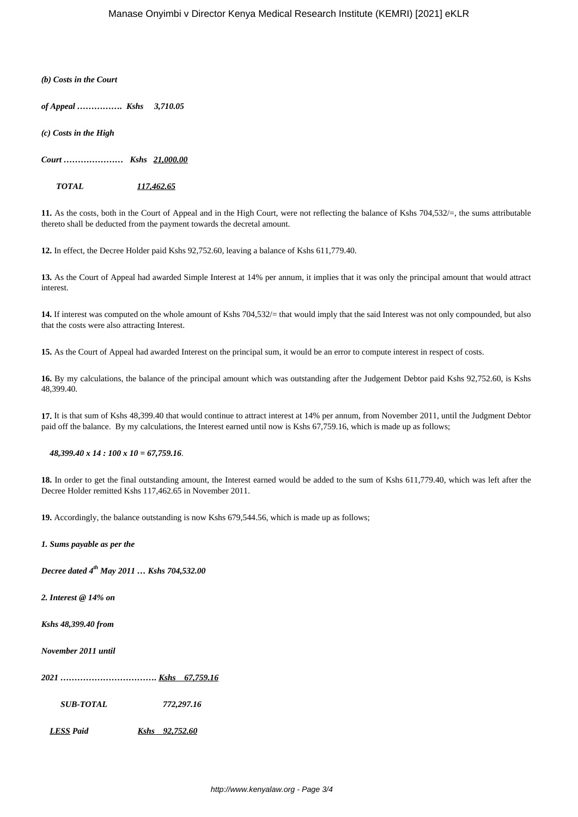*(b) Costs in the Court*

*of Appeal ……………. Kshs 3,710.05*

*(c) Costs in the High*

*Court ………………… Kshs 21,000.00*

 *TOTAL 117,462.65*

**11.** As the costs, both in the Court of Appeal and in the High Court, were not reflecting the balance of Kshs 704,532/=, the sums attributable thereto shall be deducted from the payment towards the decretal amount.

**12.** In effect, the Decree Holder paid Kshs 92,752.60, leaving a balance of Kshs 611,779.40.

**13.** As the Court of Appeal had awarded Simple Interest at 14% per annum, it implies that it was only the principal amount that would attract interest.

**14.** If interest was computed on the whole amount of Kshs 704,532/= that would imply that the said Interest was not only compounded, but also that the costs were also attracting Interest.

**15.** As the Court of Appeal had awarded Interest on the principal sum, it would be an error to compute interest in respect of costs.

**16.** By my calculations, the balance of the principal amount which was outstanding after the Judgement Debtor paid Kshs 92,752.60, is Kshs 48,399.40.

**17.** It is that sum of Kshs 48,399.40 that would continue to attract interest at 14% per annum, from November 2011, until the Judgment Debtor paid off the balance. By my calculations, the Interest earned until now is Kshs 67,759.16, which is made up as follows;

#### *48,399.40 x 14 : 100 x 10 = 67,759.16*.

**18.** In order to get the final outstanding amount, the Interest earned would be added to the sum of Kshs 611,779.40, which was left after the Decree Holder remitted Kshs 117,462.65 in November 2011.

**19.** Accordingly, the balance outstanding is now Kshs 679,544.56, which is made up as follows;

*1. Sums payable as per the*

*Decree dated 4th May 2011 … Kshs 704,532.00*

*2. Interest @ 14% on* 

*Kshs 48,399.40 from*

*November 2011 until* 

*2021 ……………………………. Kshs 67,759.16*

 *SUB-TOTAL 772,297.16*

*LESS Paid Kshs 92,752.60*